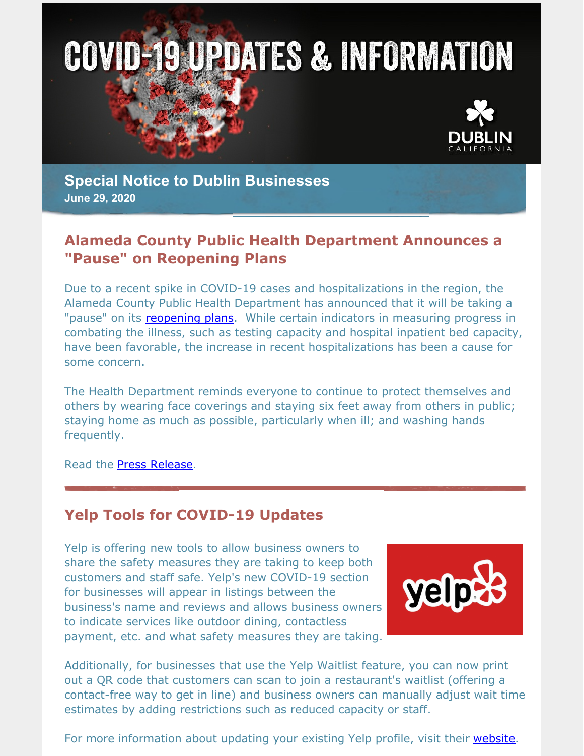



**Special Notice to Dublin Businesses June 29, 2020**

### **Alameda County Public Health Department Announces a "Pause" on Reopening Plans**

Due to a recent spike in COVID-19 cases and hospitalizations in the region, the Alameda County Public Health Department has announced that it will be taking a "pause" on its [reopening](http://www.acphd.org/media/584319/alameda-county-covid-19-reopening-plan-english.pdf) plans. While certain indicators in measuring progress in combating the illness, such as testing capacity and hospital inpatient bed capacity, have been favorable, the increase in recent hospitalizations has been a cause for some concern.

The Health Department reminds everyone to continue to protect themselves and others by wearing face coverings and staying six feet away from others in public; staying home as much as possible, particularly when ill; and washing hands frequently.

Read the Press [Release](https://dublin.ca.gov/DocumentCenter/View/22991/COVID-19-Press-Statement-Alameda-County-Reopening-Pause_62920FINAL).

### **Yelp Tools for COVID-19 Updates**

Yelp is offering new tools to allow business owners to share the safety measures they are taking to keep both customers and staff safe. Yelp's new COVID-19 section for businesses will appear in listings between the business's name and reviews and allows business owners to indicate services like outdoor dining, contactless payment, etc. and what safety measures they are taking.



Additionally, for businesses that use the Yelp Waitlist feature, you can now print out a QR code that customers can scan to join a restaurant's waitlist (offering a contact-free way to get in line) and business owners can manually adjust wait time estimates by adding restrictions such as reduced capacity or staff.

For more information about updating your existing Yelp profile, visit their [website](https://www.yelp-support.com/article/How-can-I-update-my-Yelp-business-page-if-my-business-is-affected-by-the-coronavirus-COVID-19?l=en_US).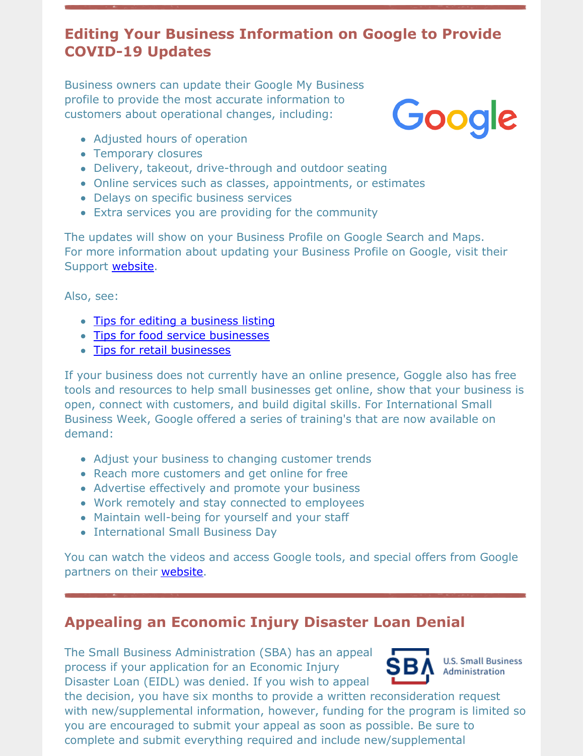# **Editing Your Business Information on Google to Provide COVID-19 Updates**

Business owners can update their Google My Business profile to provide the most accurate information to customers about operational changes, including:



- Adjusted hours of operation
- Temporary closures
- Delivery, takeout, drive-through and outdoor seating
- Online services such as classes, appointments, or estimates
- Delays on specific business services
- Extra services you are providing for the community

The updates will show on your Business Profile on Google Search and Maps. For more information about updating your Business Profile on Google, visit their Support [website](https://support.google.com/business/answer/9773423?hl=en&ref_topic=4596687).

Also, see:

- Tips for editing a [business](https://support.google.com/business/topic/4596687?hl=en&ref_topic=6377335) listing
- Tips for food service [businesses](https://support.google.com/business/answer/9805441?hl=en&ref_topic=4596687)
- Tips for retail [businesses](https://support.google.com/business/answer/9813437?hl=en&ref_topic=4596687)

If your business does not currently have an online presence, Goggle also has free tools and resources to help small businesses get online, show that your business is open, connect with customers, and build digital skills. For International Small Business Week, Google offered a series of training's that are now available on demand:

- Adjust your business to changing customer trends
- Reach more customers and get online for free
- Advertise effectively and promote your business
- Work remotely and stay connected to employees
- Maintain well-being for yourself and your staff
- International Small Business Dav

You can watch the videos and access Google tools, and special offers from Google partners on their [website](https://smallbusiness.withgoogle.com/smallbizweek).

# **Appealing an Economic Injury Disaster Loan Denial**

The Small Business Administration (SBA) has an appeal process if your application for an Economic Injury Disaster Loan (EIDL) was denied. If you wish to appeal



**U.S. Small Business** Administration

the decision, you have six months to provide a written reconsideration request with new/supplemental information, however, funding for the program is limited so you are encouraged to submit your appeal as soon as possible. Be sure to complete and submit everything required and include new/supplemental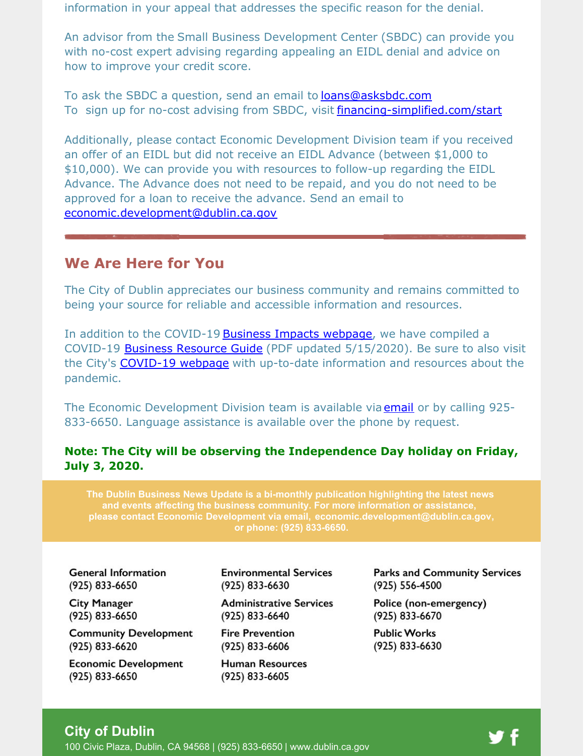information in your appeal that addresses the specific reason for the denial.

An advisor from the Small Business Development Center (SBDC) can provide you with no-cost expert advising regarding appealing an EIDL denial and advice on how to improve your credit score.

To ask the SBDC a question, send an email to [loans@asksbdc.com](mailto:loans@asksbdc.com) To sign up for no-cost advising from SBDC, visit [financing-simplified.com/start](http://financing-simplified.com/start)

Additionally, please contact Economic Development Division team if you received an offer of an EIDL but did not receive an EIDL Advance (between \$1,000 to \$10,000). We can provide you with resources to follow-up regarding the EIDL Advance. The Advance does not need to be repaid, and you do not need to be approved for a loan to receive the advance. Send an email to [economic.development@dublin.ca.gov](mailto:economic.development@dublin.ca.gov)

#### **We Are Here for You**

The City of Dublin appreciates our business community and remains committed to being your source for reliable and accessible information and resources.

In addition to the COVID-19 Business Impacts [webpage](https://www.dublin.ca.gov/2177/COVID-19-Business-Impacts), we have compiled a COVID-19 Business [Resource](https://www.dublin.ca.gov/DocumentCenter/View/22168) Guide (PDF updated 5/15/2020). Be sure to also visit the City's [COVID-19](https://www.dublin.ca.gov/coronavirus) webpage with up-to-date information and resources about the pandemic.

The Economic Development Division team is available via **[email](mailto:economic.development@dublin.ca.gov)** or by calling 925-833-6650. Language assistance is available over the phone by request.

#### **Note: The City will be observing the Independence Day holiday on Friday, July 3, 2020.**

**The Dublin Business News Update is a bi-monthly publication highlighting the latest news and events affecting the business community. For more information or assistance, please contact Economic Development via email, [economic.development@dublin.ca.gov](mailto:economic.development@dublin.ca.gov), or phone: (925) 833-6650.**

**General Information** (925) 833-6650

**City Manager** (925) 833-6650

**Community Development** (925) 833-6620

**Economic Development** (925) 833-6650

**Environmental Services** (925) 833-6630

**Administrative Services** (925) 833-6640

**Fire Prevention** (925) 833-6606

**Human Resources** (925) 833-6605

**Parks and Community Services** (925) 556-4500

Police (non-emergency) (925) 833-6670

**Public Works** (925) 833-6630

#### **City of Dublin**

100 Civic Plaza, Dublin, CA 94568 | (925) 833-6650 | [www.dublin.ca.gov](http://www.dublin.ca.gov)